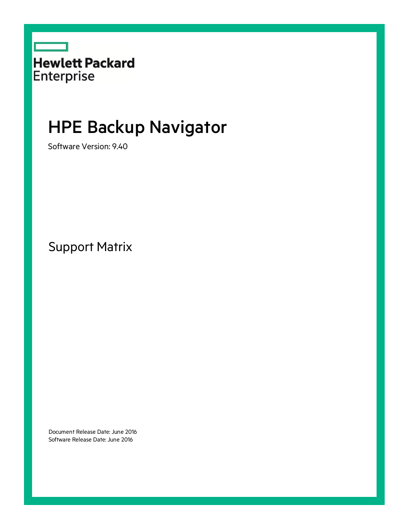

# HPE Backup Navigator

Software Version: 9.40

Support Matrix

Document Release Date: June 2016 Software Release Date: June 2016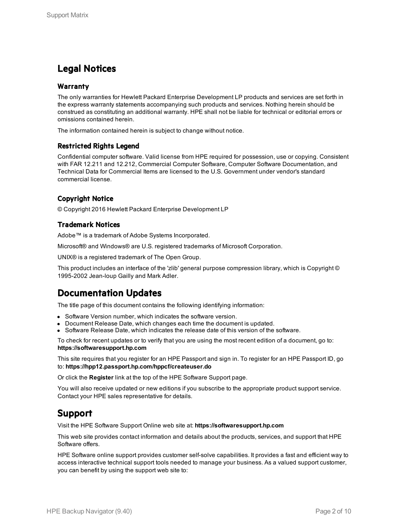### Legal Notices

#### Warranty

The only warranties for Hewlett Packard Enterprise Development LP products and services are set forth in the express warranty statements accompanying such products and services. Nothing herein should be construed as constituting an additional warranty. HPE shall not be liable for technical or editorial errors or omissions contained herein.

The information contained herein is subject to change without notice.

#### Restricted Rights Legend

Confidential computer software. Valid license from HPE required for possession, use or copying. Consistent with FAR 12.211 and 12.212, Commercial Computer Software, Computer Software Documentation, and Technical Data for Commercial Items are licensed to the U.S. Government under vendor's standard commercial license.

### Copyright Notice

© Copyright 2016 Hewlett Packard Enterprise Development LP

#### Trademark Notices

Adobe™ is a trademark of Adobe Systems Incorporated.

Microsoft® and Windows® are U.S. registered trademarks of Microsoft Corporation.

UNIX® is a registered trademark of The Open Group.

This product includes an interface of the 'zlib' general purpose compression library, which is Copyright © 1995-2002 Jean-loup Gailly and Mark Adler.

### Documentation Updates

The title page of this document contains the following identifying information:

- Software Version number, which indicates the software version.
- Document Release Date, which changes each time the document is updated.
- Software Release Date, which indicates the release date of this version of the software.

To check for recent updates or to verify that you are using the most recent edition of a document, go to: **https://softwaresupport.hp.com**

This site requires that you register for an HPE Passport and sign in. To register for an HPE Passport ID, go to: **https://hpp12.passport.hp.com/hppcf/createuser.do**

Or click the **Register** link at the top of the HPE Software Support page.

You will also receive updated or new editions if you subscribe to the appropriate product support service. Contact your HPE sales representative for details.

### Support

Visit the HPE Software Support Online web site at: **https://softwaresupport.hp.com**

This web site provides contact information and details about the products, services, and support that HPE Software offers.

HPE Software online support provides customer self-solve capabilities. It provides a fast and efficient way to access interactive technical support tools needed to manage your business. As a valued support customer, you can benefit by using the support web site to: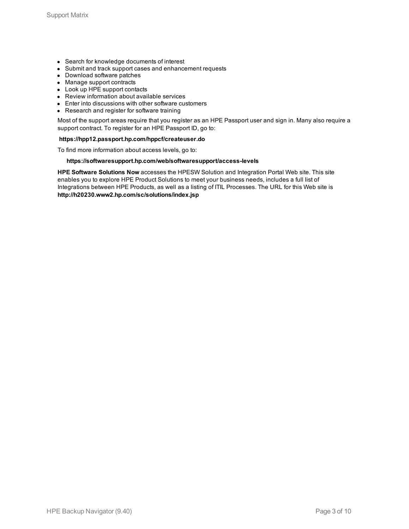- Search for knowledge documents of interest
- Submit and track support cases and enhancement requests
- Download software patches
- Manage support contracts
- Look up HPE support contacts
- Review information about available services
- Enter into discussions with other software customers
- Research and register for software training

Most of the support areas require that you register as an HPE Passport user and sign in. Many also require a support contract. To register for an HPE Passport ID, go to:

#### **https://hpp12.passport.hp.com/hppcf/createuser.do**

To find more information about access levels, go to:

#### **https://softwaresupport.hp.com/web/softwaresupport/access-levels**

**HPE Software Solutions Now** accesses the HPESW Solution and Integration Portal Web site. This site enables you to explore HPE Product Solutions to meet your business needs, includes a full list of Integrations between HPE Products, as well as a listing of ITIL Processes. The URL for this Web site is **http://h20230.www2.hp.com/sc/solutions/index.jsp**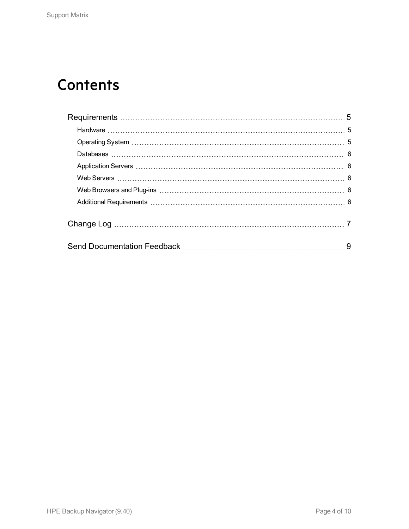# **Contents**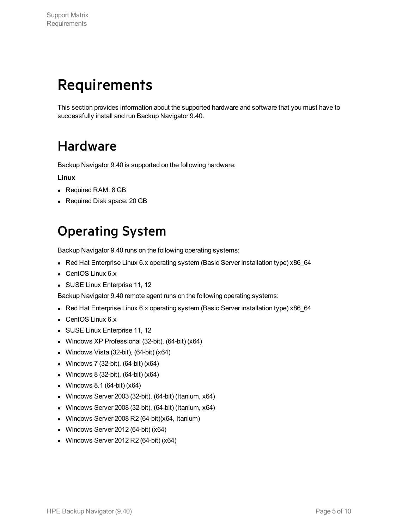# <span id="page-4-0"></span>Requirements

<span id="page-4-1"></span>This section provides information about the supported hardware and software that you must have to successfully install and run Backup Navigator 9.40.

### Hardware

Backup Navigator 9.40 is supported on the following hardware:

#### **Linux**

- Required RAM: 8 GB
- <span id="page-4-2"></span>• Required Disk space: 20 GB

## Operating System

Backup Navigator 9.40 runs on the following operating systems:

- Red Hat Enterprise Linux 6.x operating system (Basic Server installation type) x86\_64
- CentOS Linux 6.x
- SUSE Linux Enterprise 11, 12

Backup Navigator 9.40 remote agent runs on the following operating systems:

- Red Hat Enterprise Linux 6.x operating system (Basic Server installation type) x86\_64
- CentOS Linux 6.x
- SUSE Linux Enterprise 11, 12
- Windows XP Professional (32-bit),  $(64$ -bit)  $(x64)$
- Windows Vista (32-bit),  $(64$ -bit)  $(x64)$
- Windows 7 (32-bit),  $(64$ -bit)  $(x64)$
- Windows 8 (32-bit),  $(64$ -bit)  $(x64)$
- Windows 8.1 (64-bit)  $(x64)$
- Windows Server 2003 (32-bit),  $(64$ -bit) (Itanium,  $x64$ )
- $\bullet$  Windows Server 2008 (32-bit), (64-bit) (Itanium, x64)
- Windows Server 2008 R2 (64-bit) $(x64, Itanium)$
- <sup>l</sup> Windows Server 2012 (64-bit) (x64)
- Windows Server 2012 R2 (64-bit)  $(x64)$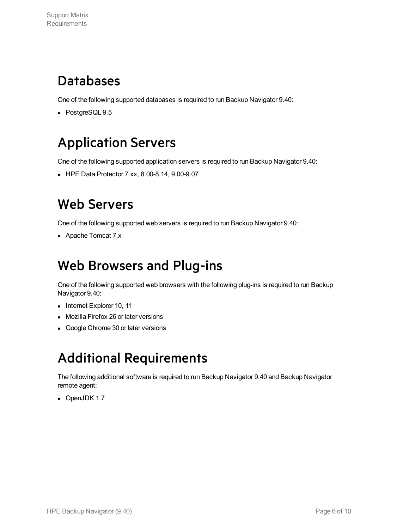### <span id="page-5-0"></span>Databases

One of the following supported databases is required to run Backup Navigator 9.40:

<span id="page-5-1"></span>• PostgreSQL 9.5

## Application Servers

One of the following supported application servers is required to run Backup Navigator 9.40:

<span id="page-5-2"></span>• HPE Data Protector 7.xx, 8.00-8.14, 9.00-9.07.

## Web Servers

One of the following supported web servers is required to run Backup Navigator 9.40:

<span id="page-5-3"></span>• Apache Tomcat 7.x

### Web Browsers and Plug-ins

One of the following supported web browsers with the following plug-ins is required to run Backup Navigator 9.40:

- Internet Explorer 10, 11
- Mozilla Firefox 26 or later versions
- <span id="page-5-4"></span>• Google Chrome 30 or later versions

## Additional Requirements

The following additional software is required to run Backup Navigator 9.40 and Backup Navigator remote agent:

 $\bullet$  OpenJDK 1.7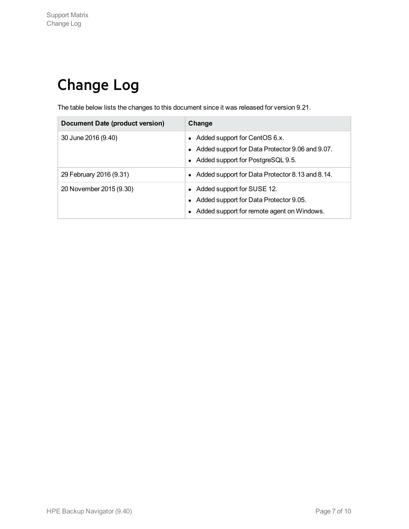# <span id="page-6-0"></span>Change Log

The table below lists the changes to this document since it was released for version 9.21.

| Document Date (product version) | Change                                                                                                                                       |
|---------------------------------|----------------------------------------------------------------------------------------------------------------------------------------------|
| 30 June 2016 (9.40)             | Added support for CentOS 6.x.<br>Added support for Data Protector 9.06 and 9.07.<br>Added support for PostgreSQL 9.5.<br>$\bullet$           |
| 29 February 2016 (9.31)         | Added support for Data Protector 8.13 and 8.14.<br>$\bullet$                                                                                 |
| 20 November 2015 (9.30)         | Added support for SUSE 12.<br>Added support for Data Protector 9.05.<br>$\bullet$<br>Added support for remote agent on Windows.<br>$\bullet$ |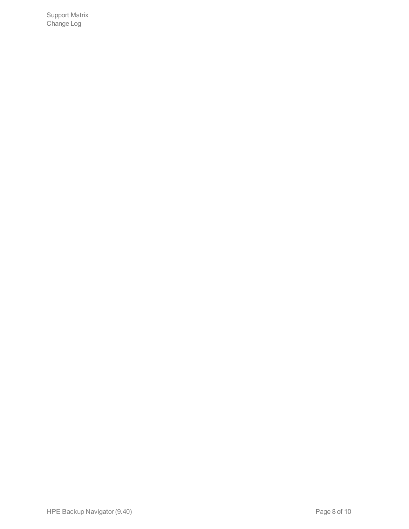Support Matrix Change Log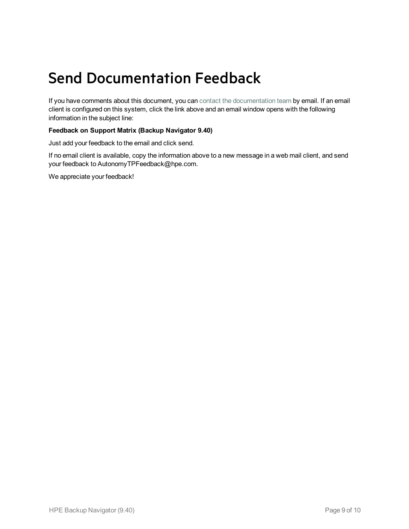# <span id="page-8-0"></span>Send Documentation Feedback

If you have comments about this document, you can contact the [documentation](mailto:AutonomyTPFeedback@hpe.com?subject=Feedback on Support Matrix (Backup Navigator 9.40)) team by email. If an email client is configured on this system, click the link above and an email window opens with the following information in the subject line:

#### **Feedback on Support Matrix (Backup Navigator 9.40)**

Just add your feedback to the email and click send.

If no email client is available, copy the information above to a new message in a web mail client, and send your feedback to AutonomyTPFeedback@hpe.com.

We appreciate your feedback!